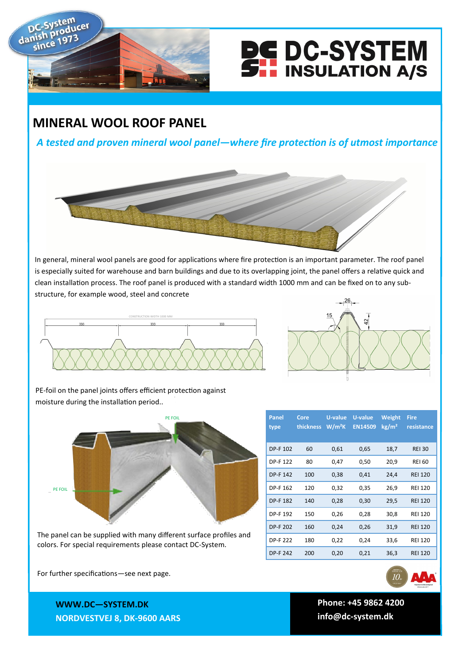



## **MINERAL WOOL ROOF PANEL**

*A tested and proven mineral wool panel—where fire protection is of utmost importance*



In general, mineral wool panels are good for applications where fire protection is an important parameter. The roof panel is especially suited for warehouse and barn buildings and due to its overlapping joint, the panel offers a relative quick and clean installation process. The roof panel is produced with a standard width 1000 mm and can be fixed on to any substructure, for example wood, steel and concrete





PE-foil on the panel joints offers efficient protection against moisture during the installation period..



The panel can be supplied with many different surface profiles and colors. For special requirements please contact DC-System.

| Panel           | Core      | U-value  | U-value<br><b>EN14509</b> | Weight            | <b>Fire</b>    |
|-----------------|-----------|----------|---------------------------|-------------------|----------------|
| type            | thickness | $W/m^2K$ |                           | kg/m <sup>2</sup> | resistance     |
| DP-F 102        | 60        | 0,61     | 0,65                      | 18,7              | <b>REI 30</b>  |
| DP-F 122        | 80        | 0,47     | 0,50                      | 20,9              | <b>REI 60</b>  |
| <b>DP-F 142</b> | 100       | 0,38     | 0,41                      | 24,4              | <b>REI 120</b> |
| DP-F 162        | 120       | 0,32     | 0,35                      | 26,9              | <b>REI 120</b> |
| <b>DP-F182</b>  | 140       | 0,28     | 0,30                      | 29,5              | <b>REI 120</b> |
| DP-F 192        | 150       | 0,26     | 0,28                      | 30,8              | <b>REI 120</b> |
| <b>DP-F 202</b> | 160       | 0,24     | 0,26                      | 31,9              | <b>REI 120</b> |
| DP-F 222        | 180       | 0,22     | 0,24                      | 33,6              | <b>REI 120</b> |
| <b>DP-F 242</b> | 200       | 0,20     | 0,21                      | 36,3              | <b>REI 120</b> |

For further specifications—see next page.

 **Phone: +45 9862 4200 info@dc-system.dk**

**WWW.DC—SYSTEM.DK NORDVESTVEJ 8, DK-9600 AARS**